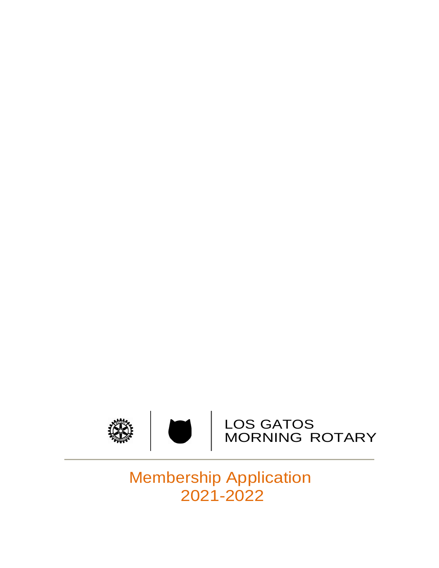

# Membership Application 2021-2022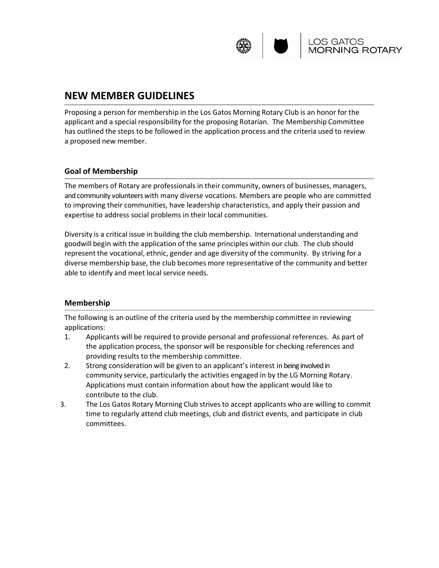

### **NEW MEMBER GUIDELINES**

Proposing a person for membership in the Los Gatos Morning Rotary Club is an honor for the applicant and a special responsibility for the proposing Rotarian. The Membership Committee has outlined the steps to be followed in the application process and the criteria used to review a proposed new member.

### **Goal of Membership**

The members of Rotary are professionals in their community, owners of businesses, managers, and community volunteers with many diverse vocations. Members are people who are committed to improving their communities, have leadership characteristics, and apply their passion and expertise to address social problems in their local communities.

Diversity is a critical issue in building the club membership. International understanding and goodwill begin with the application of the same principles within our club. The club should represent the vocational, ethnic, gender and age diversity of the community. By striving for a diverse membership base, the club becomes more representative of the community and better able to identify and meet local service needs.

### **Membership**

The following is an outline of the criteria used by the membership committee in reviewing applications:

- 1. Applicants will be required to provide personal and professional references. As part of the application process, the sponsor will be responsible for checking references and providing results to the membership committee.
- 2. Strong consideration will be given to an applicant's interest in being involved in community service, particularly the activities engaged in by the LG Morning Rotary. Applications must contain information about how the applicant would like to contribute to the club.
- 3. The Los Gatos Rotary Morning Club strives to accept applicants who are willing to commit time to regularly attend club meetings, club and district events, and participate in club committees.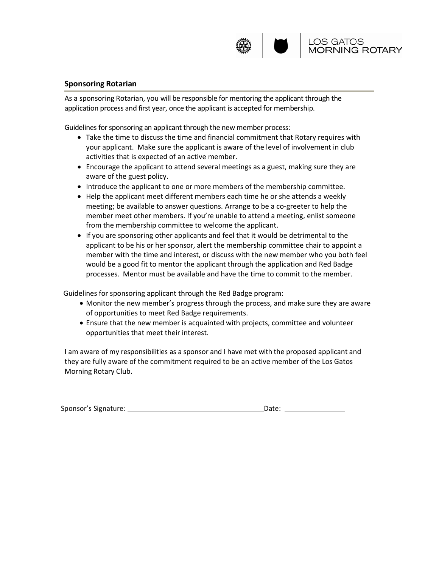

#### **Sponsoring Rotarian**

As a sponsoring Rotarian, you will be responsible for mentoring the applicant through the application process and first year, once the applicant is accepted for membership.

Guidelines for sponsoring an applicant through the new member process:

- Take the time to discuss the time and financial commitment that Rotary requires with your applicant. Make sure the applicant is aware of the level of involvement in club activities that is expected of an active member.
- Encourage the applicant to attend several meetings as a guest, making sure they are aware of the guest policy.
- Introduce the applicant to one or more members of the membership committee.
- Help the applicant meet different members each time he or she attends a weekly meeting; be available to answer questions. Arrange to be a co-greeter to help the member meet other members. If you're unable to attend a meeting, enlist someone from the membership committee to welcome the applicant.
- If you are sponsoring other applicants and feel that it would be detrimental to the applicant to be his or her sponsor, alert the membership committee chair to appoint a member with the time and interest, or discuss with the new member who you both feel would be a good fit to mentor the applicant through the application and Red Badge processes. Mentor must be available and have the time to commit to the member.

Guidelines for sponsoring applicant through the Red Badge program:

- Monitor the new member's progress through the process, and make sure they are aware of opportunities to meet Red Badge requirements.
- Ensure that the new member is acquainted with projects, committee and volunteer opportunities that meet their interest.

I am aware of my responsibilities as a sponsor and I have met with the proposed applicant and they are fully aware of the commitment required to be an active member of the Los Gatos Morning Rotary Club.

| Sponsor's Signature: | Date: |  |
|----------------------|-------|--|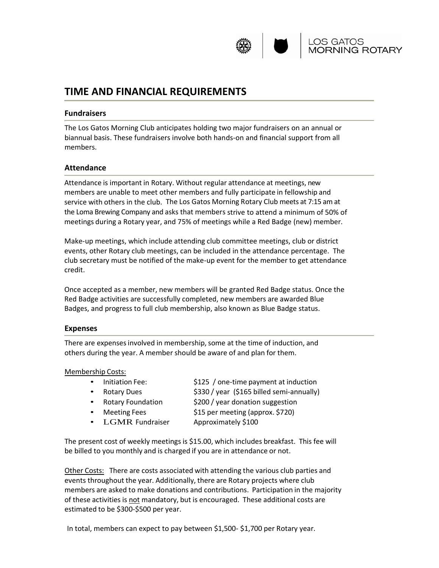

# **TIME AND FINANCIAL REQUIREMENTS**

#### **Fundraisers**

The Los Gatos Morning Club anticipates holding two major fundraisers on an annual or biannual basis. These fundraisers involve both hands-on and financial support from all members.

#### **Attendance**

Attendance is important in Rotary. Without regular attendance at meetings, new members are unable to meet other members and fully participate in fellowship and service with others in the club. The Los Gatos Morning Rotary Club meets at 7:15 am at the Loma Brewing Company and asks that members strive to attend a minimum of 50% of meetings during a Rotary year, and 75% of meetings while a Red Badge (new) member.

Make-up meetings, which include attending club committee meetings, club or district events, other Rotary club meetings, can be included in the attendance percentage. The club secretary must be notified of the make-up event for the member to get attendance credit.

Once accepted as a member, new members will be granted Red Badge status. Once the Red Badge activities are successfully completed, new members are awarded Blue Badges, and progress to full club membership, also known as Blue Badge status.

#### **Expenses**

There are expenses involved in membership, some at the time of induction, and others during the year. A member should be aware of and plan for them.

#### Membership Costs:

- Initiation Fee:  $$125 / one-time payment at induction$
- 
- Rotary Foundation  $\frac{1}{200}$  year donation suggestion
- Rotary Dues \$330 / year (\$165 billed semi-annually)
	-
- Meeting Fees \$15 per meeting (approx. \$720)
- LGMR Fundraiser Approximately \$100

The present cost of weekly meetings is \$15.00, which includes breakfast. This fee will be billed to you monthly and is charged if you are in attendance or not.

Other Costs: There are costs associated with attending the various club parties and events throughout the year. Additionally, there are Rotary projects where club members are asked to make donations and contributions. Participation in the majority of these activities is not mandatory, but is encouraged. These additional costs are estimated to be \$300-\$500 per year.

In total, members can expect to pay between \$1,500- \$1,700 per Rotary year.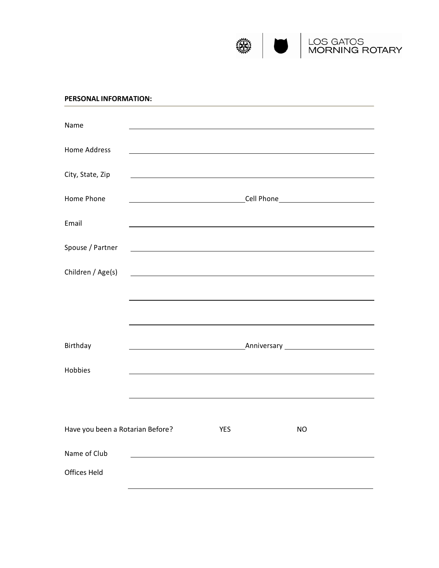

#### **PERSONAL INFORMATION:**

| Name                             |                                                         |                                                                                                                                                                                                                               |    |  |
|----------------------------------|---------------------------------------------------------|-------------------------------------------------------------------------------------------------------------------------------------------------------------------------------------------------------------------------------|----|--|
| <b>Home Address</b>              |                                                         |                                                                                                                                                                                                                               |    |  |
| City, State, Zip                 |                                                         |                                                                                                                                                                                                                               |    |  |
| Home Phone                       |                                                         |                                                                                                                                                                                                                               |    |  |
| Email                            |                                                         | the control of the control of the control of the control of the control of the control of the control of the control of the control of the control of the control of the control of the control of the control of the control |    |  |
| Spouse / Partner                 | <u> 1989 - Johann Barbara, martxa alemaniar a</u>       |                                                                                                                                                                                                                               |    |  |
| Children / Age(s)                | <u> 1980 - Johann Barbara, martin amerikan basar da</u> |                                                                                                                                                                                                                               |    |  |
|                                  |                                                         |                                                                                                                                                                                                                               |    |  |
|                                  |                                                         |                                                                                                                                                                                                                               |    |  |
| Birthday                         |                                                         |                                                                                                                                                                                                                               |    |  |
| Hobbies                          |                                                         |                                                                                                                                                                                                                               |    |  |
|                                  |                                                         |                                                                                                                                                                                                                               |    |  |
|                                  |                                                         |                                                                                                                                                                                                                               |    |  |
| Have you been a Rotarian Before? |                                                         | <b>YES</b>                                                                                                                                                                                                                    | NO |  |
| Name of Club                     |                                                         |                                                                                                                                                                                                                               |    |  |
| <b>Offices Held</b>              |                                                         |                                                                                                                                                                                                                               |    |  |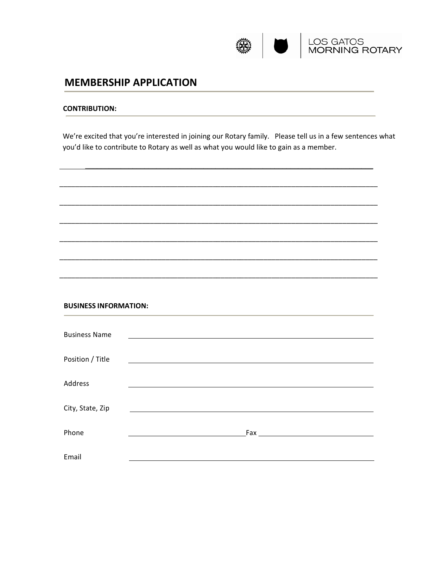

#### **CONTRIBUTION:**

We're excited that you're interested in joining our Rotary family. Please tell us in a few sentences what you'd like to contribute to Rotary as well as what you would like to gain as a member.

\_\_\_\_\_\_\_\_\_\_\_\_\_\_\_\_\_\_\_\_\_\_\_\_\_\_\_\_\_\_\_\_\_\_\_\_\_\_\_\_\_\_\_\_\_\_\_\_\_\_\_\_\_\_\_\_\_\_\_\_\_\_\_\_\_\_\_\_\_\_\_\_\_

\_\_\_\_\_\_\_\_\_\_\_\_\_\_\_\_\_\_\_\_\_\_\_\_\_\_\_\_\_\_\_\_\_\_\_\_\_\_\_\_\_\_\_\_\_\_\_\_\_\_\_\_\_\_\_\_\_\_\_\_\_\_\_\_\_\_\_\_\_\_\_\_\_\_\_\_\_\_\_\_\_

\_\_\_\_\_\_\_\_\_\_\_\_\_\_\_\_\_\_\_\_\_\_\_\_\_\_\_\_\_\_\_\_\_\_\_\_\_\_\_\_\_\_\_\_\_\_\_\_\_\_\_\_\_\_\_\_\_\_\_\_\_\_\_\_\_\_\_\_\_\_\_\_\_\_\_\_\_\_\_\_\_

\_\_\_\_\_\_\_\_\_\_\_\_\_\_\_\_\_\_\_\_\_\_\_\_\_\_\_\_\_\_\_\_\_\_\_\_\_\_\_\_\_\_\_\_\_\_\_\_\_\_\_\_\_\_\_\_\_\_\_\_\_\_\_\_\_\_\_\_\_\_\_\_\_\_\_\_\_\_\_\_\_

\_\_\_\_\_\_\_\_\_\_\_\_\_\_\_\_\_\_\_\_\_\_\_\_\_\_\_\_\_\_\_\_\_\_\_\_\_\_\_\_\_\_\_\_\_\_\_\_\_\_\_\_\_\_\_\_\_\_\_\_\_\_\_\_\_\_\_\_\_\_\_\_\_\_\_\_\_\_\_\_\_

\_\_\_\_\_\_\_\_\_\_\_\_\_\_\_\_\_\_\_\_\_\_\_\_\_\_\_\_\_\_\_\_\_\_\_\_\_\_\_\_\_\_\_\_\_\_\_\_\_\_\_\_\_\_\_\_\_\_\_\_\_\_\_\_\_\_\_\_\_\_\_\_\_\_\_\_\_\_\_\_\_

\_\_\_\_\_\_\_\_\_\_\_\_\_\_\_\_\_\_\_\_\_\_\_\_\_\_\_\_\_\_\_\_\_\_\_\_\_\_\_\_\_\_\_\_\_\_\_\_\_\_\_\_\_\_\_\_\_\_\_\_\_\_\_\_\_\_\_\_\_\_\_\_\_\_\_\_\_\_\_\_\_

#### **BUSINESS INFORMATION:**

| <b>Business Name</b> |  |  |
|----------------------|--|--|
| Position / Title     |  |  |
| Address              |  |  |
| City, State, Zip     |  |  |
| Phone                |  |  |
| Email                |  |  |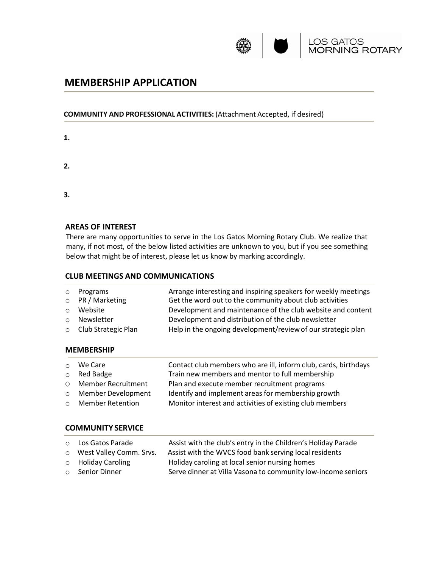

#### **COMMUNITY AND PROFESSIONAL ACTIVITIES:** (Attachment Accepted, if desired)

- **1.**
- **2.**
- **3.**

#### **AREAS OF INTEREST**

There are many opportunities to serve in the Los Gatos Morning Rotary Club. We realize that many, if not most, of the below listed activities are unknown to you, but if you see something below that might be of interest, please let us know by marking accordingly.

#### **CLUB MEETINGS AND COMMUNICATIONS**

|         | o Programs                  | Arrange interesting and inspiring speakers for weekly meetings |
|---------|-----------------------------|----------------------------------------------------------------|
|         | $\circ$ PR / Marketing      | Get the word out to the community about club activities        |
| $\circ$ | Website                     | Development and maintenance of the club website and content    |
| $\cap$  | Newsletter                  | Development and distribution of the club newsletter            |
|         | $\circ$ Club Strategic Plan | Help in the ongoing development/review of our strategic plan   |

#### **MEMBERSHIP**

| $\circ$ We Care      | Contact club members who are ill, inform club, cards, birthdays |
|----------------------|-----------------------------------------------------------------|
| $\circ$ Red Badge    | Train new members and mentor to full membership                 |
| O Member Recruitment | Plan and execute member recruitment programs                    |
| O Member Development | Identify and implement areas for membership growth              |
| ○ Member Retention   | Monitor interest and activities of existing club members        |
|                      |                                                                 |

#### **COMMUNITY SERVICE**

|                       | ○ Los Gatos Parade        | Assist with the club's entry in the Children's Holiday Parade |
|-----------------------|---------------------------|---------------------------------------------------------------|
|                       | O West Valley Comm. Srvs. | Assist with the WVCS food bank serving local residents        |
|                       | $\circ$ Holiday Caroling  | Holiday caroling at local senior nursing homes                |
| $\circ$ Senior Dinner |                           | Serve dinner at Villa Vasona to community low-income seniors  |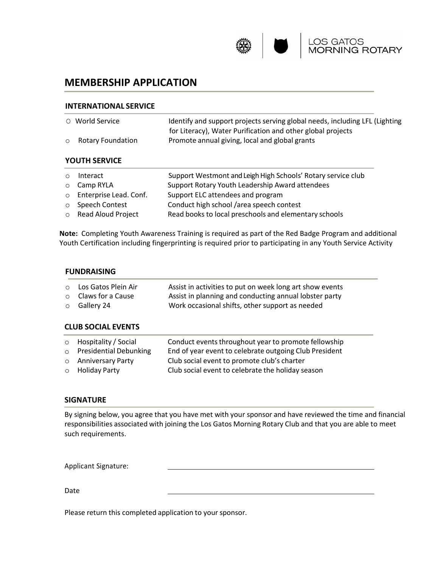

#### **INTERNATIONAL SERVICE**

|         | ○ World Service   | Identify and support projects serving global needs, including LFL (Lighting |
|---------|-------------------|-----------------------------------------------------------------------------|
|         |                   | for Literacy), Water Purification and other global projects                 |
| $\circ$ | Rotary Foundation | Promote annual giving, local and global grants                              |
|         |                   |                                                                             |

#### **YOUTH SERVICE**

| $\circ$ | Interact                 | Support Westmont and Leigh High Schools' Rotary service club |
|---------|--------------------------|--------------------------------------------------------------|
|         | <b>O</b> Camp RYLA       | Support Rotary Youth Leadership Award attendees              |
|         | o Enterprise Lead. Conf. | Support ELC attendees and program                            |
|         | o Speech Contest         | Conduct high school /area speech contest                     |
|         | o Read Aloud Project     | Read books to local preschools and elementary schools        |

**Note:** Completing Youth Awareness Training is required as part of the Red Badge Program and additional Youth Certification including fingerprinting is required prior to participating in any Youth Service Activity

### **FUNDRAISING**

| ○ Los Gatos Plein Air     | Assist in activities to put on week long art show events |
|---------------------------|----------------------------------------------------------|
| $\circ$ Claws for a Cause | Assist in planning and conducting annual lobster party   |
| $\circ$ Gallery 24        | Work occasional shifts, other support as needed          |

### **CLUB SOCIAL EVENTS**

| $\circ$ Hospitality / Social<br>$\circ$ Presidential Debunking | Conduct events throughout year to promote fellowship<br>End of year event to celebrate outgoing Club President |
|----------------------------------------------------------------|----------------------------------------------------------------------------------------------------------------|
| o Anniversary Party<br>$\circ$ Holiday Party                   | Club social event to promote club's charter<br>Club social event to celebrate the holiday season               |

#### **SIGNATURE**

By signing below, you agree that you have met with your sponsor and have reviewed the time and financial responsibilities associated with joining the Los Gatos Morning Rotary Club and that you are able to meet such requirements.

Applicant Signature:

Date

Please return this completed application to your sponsor.